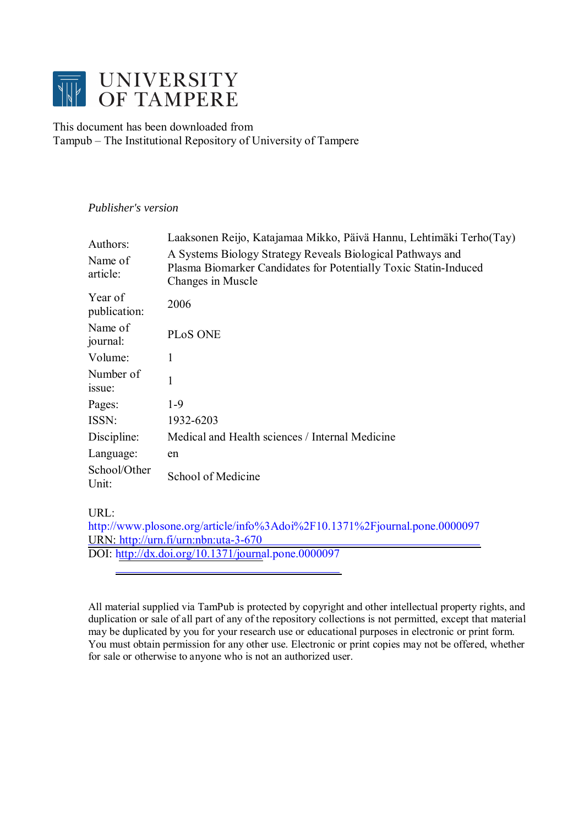

This document has been downloaded from Tampub – The Institutional Repository of University of Tampere

# *Publisher's version*

| Authors:<br>Name of<br>article: | Laaksonen Reijo, Katajamaa Mikko, Päivä Hannu, Lehtimäki Terho(Tay)<br>A Systems Biology Strategy Reveals Biological Pathways and<br>Plasma Biomarker Candidates for Potentially Toxic Statin-Induced<br>Changes in Muscle |  |  |  |
|---------------------------------|----------------------------------------------------------------------------------------------------------------------------------------------------------------------------------------------------------------------------|--|--|--|
| Year of<br>publication:         | 2006                                                                                                                                                                                                                       |  |  |  |
| Name of<br>journal:             | PLoS ONE                                                                                                                                                                                                                   |  |  |  |
| Volume:                         | 1                                                                                                                                                                                                                          |  |  |  |
| Number of<br>issue:             | 1                                                                                                                                                                                                                          |  |  |  |
| Pages:                          | $1-9$                                                                                                                                                                                                                      |  |  |  |
| ISSN:                           | 1932-6203                                                                                                                                                                                                                  |  |  |  |
| Discipline:                     | Medical and Health sciences / Internal Medicine                                                                                                                                                                            |  |  |  |
| Language:                       | en                                                                                                                                                                                                                         |  |  |  |
| School/Other<br>Unit:           | School of Medicine                                                                                                                                                                                                         |  |  |  |

URL:

http://www.plosone.org/article/info%3Adoi%2F10.1371%2Fjournal.pone.0000097 URN: [http://urn.fi/urn:nbn:uta-3-670](http://www.plosone.org/article/info%3Adoi%2F10.1371%2Fjournal.pone.0000097) DOI: [http://dx.doi.org/10.1371/journa](http://urn.fi/urn:nbn:uta-3-670)l.pone.0000097

All material supplied via TamPub is protected by copyright and other intellectual property rights, and duplication or sale of all part of any of the repository collections is not permitted, except that material may be duplicated by you for your research use or educational purposes in electronic or print form. You must obtain permission for any other use. Electronic or print copies may not be offered, whether for sale or otherwise to anyone who is not an authorized user.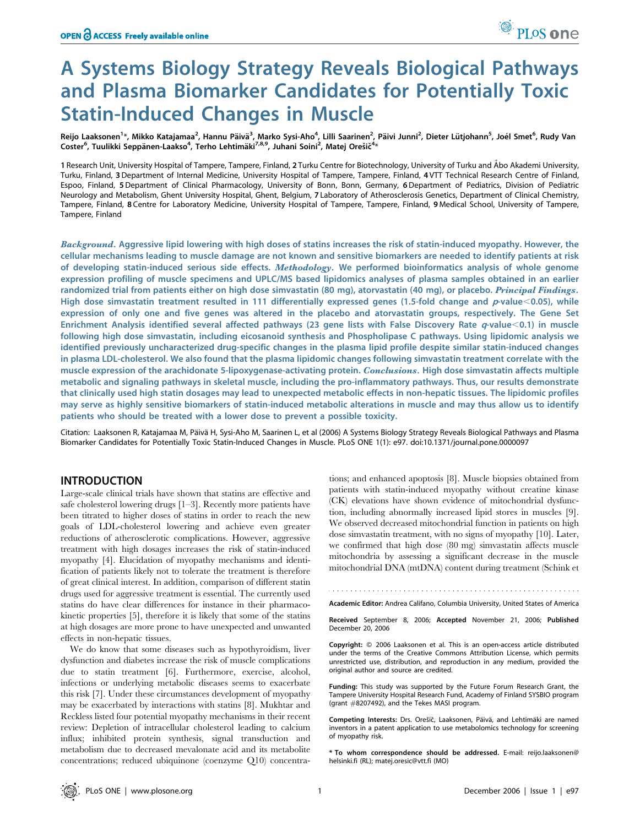# A Systems Biology Strategy Reveals Biological Pathways and Plasma Biomarker Candidates for Potentially Toxic Statin-Induced Changes in Muscle

Reijo Laaksonen<sup>1</sup>\*, Mikko Katajamaa<sup>2</sup>, Hannu Päivä<sup>3</sup>, Marko Sysi-Aho<sup>4</sup>, Lilli Saarinen<sup>2</sup>, Päivi Junni<sup>2</sup>, Dieter Lütjohann<sup>5</sup>, Joél Smet<sup>6</sup>, Rudy Van Coster<sup>6</sup>, Tuulikki Seppänen-Laakso<sup>4</sup>, Terho Lehtimäki<sup>7,8,9</sup>, Juhani Soini<sup>2</sup>, Matej Orešič<sup>4</sup>\*

1 Research Unit, University Hospital of Tampere, Tampere, Finland, 2 Turku Centre for Biotechnology, University of Turku and A˚bo Akademi University, Turku, Finland, 3Department of Internal Medicine, University Hospital of Tampere, Tampere, Finland, 4 VTT Technical Research Centre of Finland, Espoo, Finland, 5Department of Clinical Pharmacology, University of Bonn, Bonn, Germany, 6Department of Pediatrics, Division of Pediatric Neurology and Metabolism, Ghent University Hospital, Ghent, Belgium, 7 Laboratory of Atherosclerosis Genetics, Department of Clinical Chemistry, Tampere, Finland, 8 Centre for Laboratory Medicine, University Hospital of Tampere, Tampere, Finland, 9 Medical School, University of Tampere, Tampere, Finland

Background. Aggressive lipid lowering with high doses of statins increases the risk of statin-induced myopathy. However, the cellular mechanisms leading to muscle damage are not known and sensitive biomarkers are needed to identify patients at risk of developing statin-induced serious side effects. Methodology. We performed bioinformatics analysis of whole genome expression profiling of muscle specimens and UPLC/MS based lipidomics analyses of plasma samples obtained in an earlier randomized trial from patients either on high dose simvastatin (80 mg), atorvastatin (40 mg), or placebo. Principal Findings. High dose simvastatin treatment resulted in 111 differentially expressed genes (1.5-fold change and  $p$ -value $<$ 0.05), while expression of only one and five genes was altered in the placebo and atorvastatin groups, respectively. The Gene Set Enrichment Analysis identified several affected pathways (23 gene lists with False Discovery Rate  $q$ -value<0.1) in muscle following high dose simvastatin, including eicosanoid synthesis and Phospholipase C pathways. Using lipidomic analysis we identified previously uncharacterized drug-specific changes in the plasma lipid profile despite similar statin-induced changes in plasma LDL-cholesterol. We also found that the plasma lipidomic changes following simvastatin treatment correlate with the muscle expression of the arachidonate 5-lipoxygenase-activating protein. Conclusions. High dose simvastatin affects multiple metabolic and signaling pathways in skeletal muscle, including the pro-inflammatory pathways. Thus, our results demonstrate that clinically used high statin dosages may lead to unexpected metabolic effects in non-hepatic tissues. The lipidomic profiles may serve as highly sensitive biomarkers of statin-induced metabolic alterations in muscle and may thus allow us to identify patients who should be treated with a lower dose to prevent a possible toxicity.

Citation: Laaksonen R, Katajamaa M, Päivä H, Sysi-Aho M, Saarinen L, et al (2006) A Systems Biology Strategy Reveals Biological Pathways and Plasma Biomarker Candidates for Potentially Toxic Statin-Induced Changes in Muscle. PLoS ONE 1(1): e97. doi:10.1371/journal.pone.0000097

# INTRODUCTION

Large-scale clinical trials have shown that statins are effective and safe cholesterol lowering drugs [1–3]. Recently more patients have been titrated to higher doses of statins in order to reach the new goals of LDL-cholesterol lowering and achieve even greater reductions of atherosclerotic complications. However, aggressive treatment with high dosages increases the risk of statin-induced myopathy [4]. Elucidation of myopathy mechanisms and identification of patients likely not to tolerate the treatment is therefore of great clinical interest. In addition, comparison of different statin drugs used for aggressive treatment is essential. The currently used statins do have clear differences for instance in their pharmacokinetic properties [5], therefore it is likely that some of the statins at high dosages are more prone to have unexpected and unwanted effects in non-hepatic tissues.

We do know that some diseases such as hypothyroidism, liver dysfunction and diabetes increase the risk of muscle complications due to statin treatment [6]. Furthermore, exercise, alcohol, infections or underlying metabolic diseases seems to exacerbate this risk [7]. Under these circumstances development of myopathy may be exacerbated by interactions with statins [8]. Mukhtar and Reckless listed four potential myopathy mechanisms in their recent review: Depletion of intracellular cholesterol leading to calcium influx; inhibited protein synthesis, signal transduction and metabolism due to decreased mevalonate acid and its metabolite concentrations; reduced ubiquinone (coenzyme Q10) concentra-

tions; and enhanced apoptosis [8]. Muscle biopsies obtained from patients with statin-induced myopathy without creatine kinase (CK) elevations have shown evidence of mitochondrial dysfunction, including abnormally increased lipid stores in muscles [9]. We observed decreased mitochondrial function in patients on high dose simvastatin treatment, with no signs of myopathy [10]. Later, we confirmed that high dose (80 mg) simvastatin affects muscle mitochondria by assessing a significant decrease in the muscle mitochondrial DNA (mtDNA) content during treatment (Schink et

Academic Editor: Andrea Califano, Columbia University, United States of America

Received September 8, 2006; Accepted November 21, 2006; Published December 20, 2006

Copyright: © 2006 Laaksonen et al. This is an open-access article distributed under the terms of the Creative Commons Attribution License, which permits unrestricted use, distribution, and reproduction in any medium, provided the original author and source are credited.

Funding: This study was supported by the Future Forum Research Grant, the Tampere University Hospital Research Fund, Academy of Finland SYSBIO program (grant #8207492), and the Tekes MASI program.

Competing Interests: Drs. Orešič, Laaksonen, Päivä, and Lehtimäki are named inventors in a patent application to use metabolomics technology for screening of myopathy risk.

\* To whom correspondence should be addressed. E-mail: reijo.laaksonen@ helsinki.fi (RL); matej.oresic@vtt.fi (MO)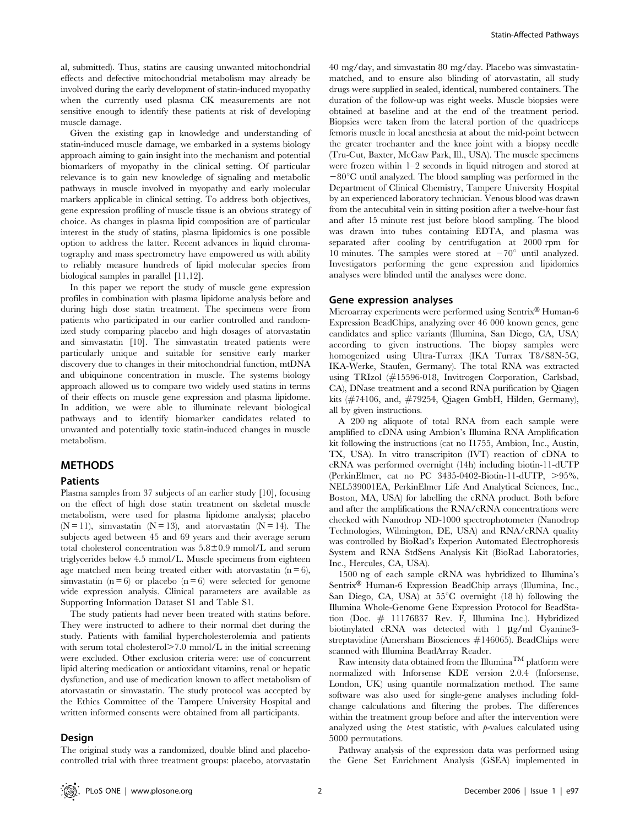al, submitted). Thus, statins are causing unwanted mitochondrial effects and defective mitochondrial metabolism may already be involved during the early development of statin-induced myopathy when the currently used plasma CK measurements are not sensitive enough to identify these patients at risk of developing muscle damage.

Given the existing gap in knowledge and understanding of statin-induced muscle damage, we embarked in a systems biology approach aiming to gain insight into the mechanism and potential biomarkers of myopathy in the clinical setting. Of particular relevance is to gain new knowledge of signaling and metabolic pathways in muscle involved in myopathy and early molecular markers applicable in clinical setting. To address both objectives, gene expression profiling of muscle tissue is an obvious strategy of choice. As changes in plasma lipid composition are of particular interest in the study of statins, plasma lipidomics is one possible option to address the latter. Recent advances in liquid chromatography and mass spectrometry have empowered us with ability to reliably measure hundreds of lipid molecular species from biological samples in parallel [11,12].

In this paper we report the study of muscle gene expression profiles in combination with plasma lipidome analysis before and during high dose statin treatment. The specimens were from patients who participated in our earlier controlled and randomized study comparing placebo and high dosages of atorvastatin and simvastatin [10]. The simvastatin treated patients were particularly unique and suitable for sensitive early marker discovery due to changes in their mitochondrial function, mtDNA and ubiquinone concentration in muscle. The systems biology approach allowed us to compare two widely used statins in terms of their effects on muscle gene expression and plasma lipidome. In addition, we were able to illuminate relevant biological pathways and to identify biomarker candidates related to unwanted and potentially toxic statin-induced changes in muscle metabolism.

## METHODS

#### Patients

Plasma samples from 37 subjects of an earlier study [10], focusing on the effect of high dose statin treatment on skeletal muscle metabolism, were used for plasma lipidome analysis; placebo  $(N = 11)$ , simvastatin  $(N = 13)$ , and atorvastatin  $(N = 14)$ . The subjects aged between 45 and 69 years and their average serum total cholesterol concentration was  $5.8 \pm 0.9$  mmol/L and serum triglycerides below 4.5 mmol/L. Muscle specimens from eighteen age matched men being treated either with atorvastatin  $(n = 6)$ , simvastatin ( $n = 6$ ) or placebo ( $n = 6$ ) were selected for genome wide expression analysis. Clinical parameters are available as Supporting Information Dataset S1 and Table S1.

The study patients had never been treated with statins before. They were instructed to adhere to their normal diet during the study. Patients with familial hypercholesterolemia and patients with serum total cholesterol $>7.0$  mmol/L in the initial screening were excluded. Other exclusion criteria were: use of concurrent lipid altering medication or antioxidant vitamins, renal or hepatic dysfunction, and use of medication known to affect metabolism of atorvastatin or simvastatin. The study protocol was accepted by the Ethics Committee of the Tampere University Hospital and written informed consents were obtained from all participants.

## **Design**

40 mg/day, and simvastatin 80 mg/day. Placebo was simvastatinmatched, and to ensure also blinding of atorvastatin, all study drugs were supplied in sealed, identical, numbered containers. The duration of the follow-up was eight weeks. Muscle biopsies were obtained at baseline and at the end of the treatment period. Biopsies were taken from the lateral portion of the quadriceps femoris muscle in local anesthesia at about the mid-point between the greater trochanter and the knee joint with a biopsy needle (Tru-Cut, Baxter, McGaw Park, Ill., USA). The muscle specimens were frozen within 1–2 seconds in liquid nitrogen and stored at  $-80^{\circ}$ C until analyzed. The blood sampling was performed in the Department of Clinical Chemistry, Tampere University Hospital by an experienced laboratory technician. Venous blood was drawn from the antecubital vein in sitting position after a twelve-hour fast and after 15 minute rest just before blood sampling. The blood was drawn into tubes containing EDTA, and plasma was separated after cooling by centrifugation at 2000 rpm for 10 minutes. The samples were stored at  $-70^{\circ}$  until analyzed. Investigators performing the gene expression and lipidomics analyses were blinded until the analyses were done.

### Gene expression analyses

Microarray experiments were performed using Sentrix® Human-6 Expression BeadChips, analyzing over 46 000 known genes, gene candidates and splice variants (Illumina, San Diego, CA, USA) according to given instructions. The biopsy samples were homogenized using Ultra-Turrax (IKA Turrax T8/S8N-5G, IKA-Werke, Staufen, Germany). The total RNA was extracted using TRIzol (#15596-018, Invitrogen Corporation, Carlsbad, CA), DNase treatment and a second RNA purification by Qiagen kits (#74106, and, #79254, Qiagen GmbH, Hilden, Germany), all by given instructions.

A 200 ng aliquote of total RNA from each sample were amplified to cDNA using Ambion's Illumina RNA Amplification kit following the instructions (cat no I1755, Ambion, Inc., Austin, TX, USA). In vitro transcripiton (IVT) reaction of cDNA to cRNA was performed overnight (14h) including biotin-11-dUTP (PerkinElmer, cat no PC 3435-0402-Biotin-11-dUTP,  $>95\%$ , NEL539001EA, PerkinElmer Life And Analytical Sciences, Inc., Boston, MA, USA) for labelling the cRNA product. Both before and after the amplifications the RNA/cRNA concentrations were checked with Nanodrop ND-1000 spectrophotometer (Nanodrop Technologies, Wilmington, DE, USA) and RNA/cRNA quality was controlled by BioRad's Experion Automated Electrophoresis System and RNA StdSens Analysis Kit (BioRad Laboratories, Inc., Hercules, CA, USA).

1500 ng of each sample cRNA was hybridized to Illumina's Sentrix<sup>®</sup> Human-6 Expression BeadChip arrays (Illumina, Inc., San Diego, CA, USA) at  $55^{\circ}$ C overnight (18 h) following the Illumina Whole-Genome Gene Expression Protocol for BeadStation (Doc. # 11176837 Rev. F, Illumina Inc.). Hybridized biotinylated cRNA was detected with  $1 \mu g/ml$  Cyanine3streptavidine (Amersham Biosciences #146065). BeadChips were scanned with Illumina BeadArray Reader.

Raw intensity data obtained from the Illumina<sup>TM</sup> platform were normalized with Inforsense KDE version 2.0.4 (Inforsense, London, UK) using quantile normalization method. The same software was also used for single-gene analyses including foldchange calculations and filtering the probes. The differences within the treatment group before and after the intervention were analyzed using the *t*-test statistic, with  $p$ -values calculated using 5000 permutations.

Pathway analysis of the expression data was performed using the Gene Set Enrichment Analysis (GSEA) implemented in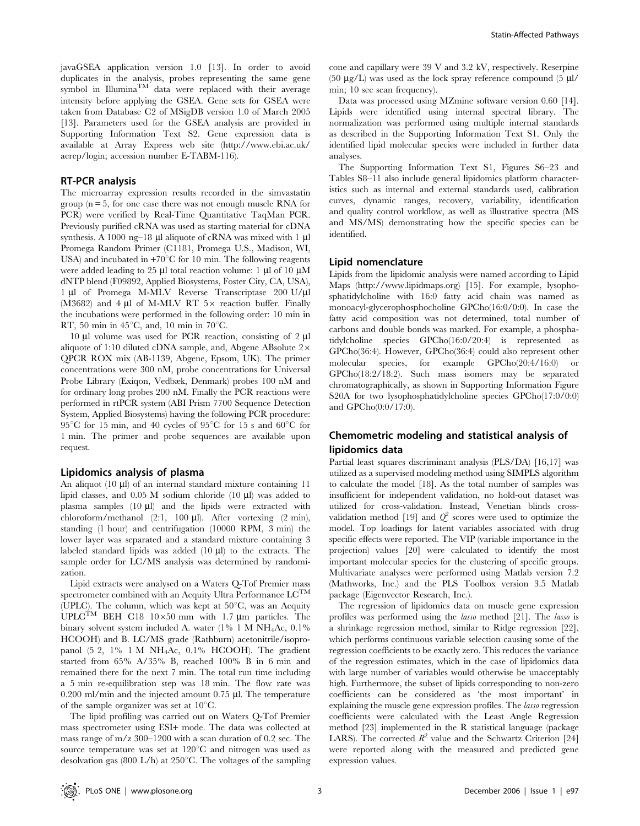javaGSEA application version 1.0 [13]. In order to avoid duplicates in the analysis, probes representing the same gene symbol in Illumina<sup>TM</sup> data were replaced with their average intensity before applying the GSEA. Gene sets for GSEA were taken from Database C2 of MSigDB version 1.0 of March 2005 [13]. Parameters used for the GSEA analysis are provided in Supporting Information Text S2. Gene expression data is available at Array Express web site (http://www.ebi.ac.uk/ aerep/login; accession number E-TABM-116).

## RT-PCR analysis

The microarray expression results recorded in the simvastatin group  $(n = 5)$ , for one case there was not enough muscle RNA for PCR) were verified by Real-Time Quantitative TaqMan PCR. Previously purified cRNA was used as starting material for cDNA synthesis. A 1000 ng–18  $\mu$ l aliquote of cRNA was mixed with 1  $\mu$ l Promega Random Primer (C1181, Promega U.S., Madison, WI, USA) and incubated in  $+70^{\circ}$ C for 10 min. The following reagents were added leading to 25  $\mu$ l total reaction volume: 1  $\mu$ l of 10  $\mu$ M dNTP blend (F09892, Applied Biosystems, Foster City, CA, USA), 1 µl of Promega M-MLV Reverse Transcriptase 200 U/µl (M3682) and 4 µl of M-MLV RT  $5\times$  reaction buffer. Finally the incubations were performed in the following order: 10 min in RT, 50 min in  $45^{\circ}$ C, and, 10 min in 70 $^{\circ}$ C.

10  $\mu$ l volume was used for PCR reaction, consisting of 2  $\mu$ l aliquote of 1:10 diluted cDNA sample, and, Abgene ABsolute 2× QPCR ROX mix (AB-1139, Abgene, Epsom, UK). The primer concentrations were 300 nM, probe concentrations for Universal Probe Library (Exiqon, Vedbæk, Denmark) probes 100 nM and for ordinary long probes 200 nM. Finally the PCR reactions were performed in rtPCR system (ABI Prism 7700 Sequence Detection System, Applied Biosystems) having the following PCR procedure: 95<sup>°</sup>C for 15 min, and 40 cycles of 95<sup>°</sup>C for 15 s and 60<sup>°</sup>C for 1 min. The primer and probe sequences are available upon request.

## Lipidomics analysis of plasma

An aliquot  $(10 \mu l)$  of an internal standard mixture containing 11 lipid classes, and  $0.05$  M sodium chloride (10  $\mu$ l) was added to plasma samples  $(10 \mu l)$  and the lipids were extracted with chloroform/methanol  $(2:1, 100 \mu l)$ . After vortexing  $(2 \min)$ , standing (1 hour) and centrifugation (10000 RPM, 3 min) the lower layer was separated and a standard mixture containing 3 labeled standard lipids was added  $(10 \mu l)$  to the extracts. The sample order for LC/MS analysis was determined by randomization.

Lipid extracts were analysed on a Waters Q-Tof Premier mass spectrometer combined with an Acquity Ultra Performance  $\mathbf{LC}^{\mathbf{TM}}$ (UPLC). The column, which was kept at  $50^{\circ}$ C, was an Acquity UPLC<sup>TM</sup> BEH C18 10×50 mm with 1.7  $\mu$ m particles. The binary solvent system included A. water (1% 1 M NH4Ac, 0.1% HCOOH) and B. LC/MS grade (Rathburn) acetonitrile/isopropanol (5 2, 1% 1 M NH4Ac, 0.1% HCOOH). The gradient started from 65% A/35% B, reached 100% B in 6 min and remained there for the next 7 min. The total run time including a 5 min re-equilibration step was 18 min. The flow rate was  $0.200$  ml/min and the injected amount  $0.75$   $\mu$ l. The temperature of the sample organizer was set at  $10^{\circ}$ C.

The lipid profiling was carried out on Waters Q-Tof Premier mass spectrometer using ESI+ mode. The data was collected at mass range of m/z 300–1200 with a scan duration of 0.2 sec. The source temperature was set at  $120^{\circ}$ C and nitrogen was used as desolvation gas (800 L/h) at  $250^{\circ}$ C. The voltages of the sampling cone and capillary were 39 V and 3.2 kV, respectively. Reserpine (50  $\mu$ g/L) was used as the lock spray reference compound (5  $\mu$ l/ min; 10 sec scan frequency).

Data was processed using MZmine software version 0.60 [14]. Lipids were identified using internal spectral library. The normalization was performed using multiple internal standards as described in the Supporting Information Text S1. Only the identified lipid molecular species were included in further data analyses.

The Supporting Information Text S1, Figures S6–23 and Tables S8–11 also include general lipidomics platform characteristics such as internal and external standards used, calibration curves, dynamic ranges, recovery, variability, identification and quality control workflow, as well as illustrative spectra (MS and MS/MS) demonstrating how the specific species can be identified.

## Lipid nomenclature

Lipids from the lipidomic analysis were named according to Lipid Maps (http://www.lipidmaps.org) [15]. For example, lysophosphatidylcholine with 16:0 fatty acid chain was named as monoacyl-glycerophosphocholine GPCho(16:0/0:0). In case the fatty acid composition was not determined, total number of carbons and double bonds was marked. For example, a phosphatidylcholine species GPCho(16:0/20:4) is represented as GPCho(36:4). However, GPCho(36:4) could also represent other molecular species, for example  $GPCho(20:4/16:0)$ GPCho(18:2/18:2). Such mass isomers may be separated chromatographically, as shown in Supporting Information Figure S20A for two lysophosphatidylcholine species GPCho(17:0/0:0) and GPCho(0:0/17:0).

# Chemometric modeling and statistical analysis of lipidomics data

Partial least squares discriminant analysis (PLS/DA) [16,17] was utilized as a supervised modeling method using SIMPLS algorithm to calculate the model [18]. As the total number of samples was insufficient for independent validation, no hold-out dataset was utilized for cross-validation. Instead, Venetian blinds crossvalidation method [19] and  $Q^2$  scores were used to optimize the model. Top loadings for latent variables associated with drug specific effects were reported. The VIP (variable importance in the projection) values [20] were calculated to identify the most important molecular species for the clustering of specific groups. Multivariate analyses were performed using Matlab version 7.2 (Mathworks, Inc.) and the PLS Toolbox version 3.5 Matlab package (Eigenvector Research, Inc.).

The regression of lipidomics data on muscle gene expression profiles was performed using the lasso method [21]. The lasso is a shrinkage regression method, similar to Ridge regression [22], which performs continuous variable selection causing some of the regression coefficients to be exactly zero. This reduces the variance of the regression estimates, which in the case of lipidomics data with large number of variables would otherwise be unacceptably high. Furthermore, the subset of lipids corresponding to non-zero coefficients can be considered as 'the most important' in explaining the muscle gene expression profiles. The lasso regression coefficients were calculated with the Least Angle Regression method [23] implemented in the R statistical language (package LARS). The corrected  $R^2$  value and the Schwartz Criterion [24] were reported along with the measured and predicted gene expression values.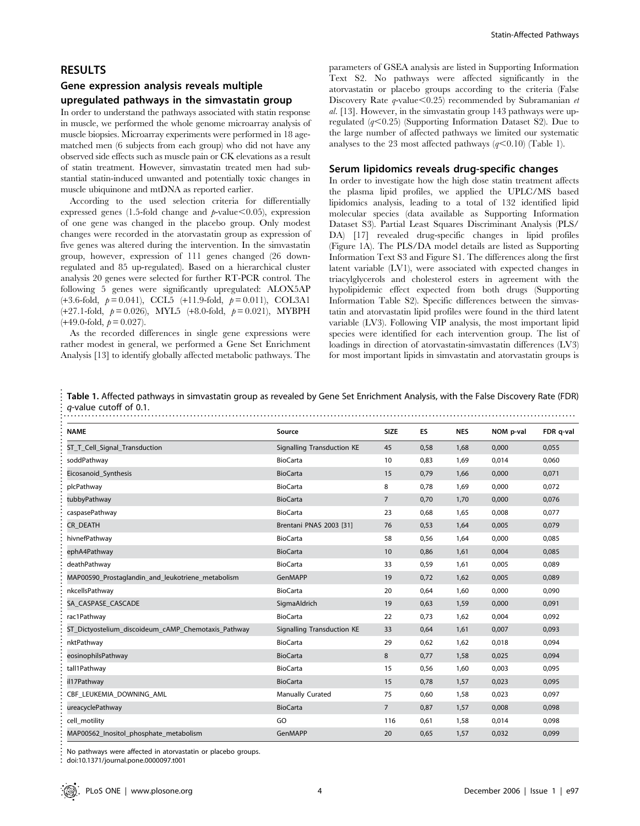# Gene expression analysis reveals multiple

## upregulated pathways in the simvastatin group

In order to understand the pathways associated with statin response in muscle, we performed the whole genome microarray analysis of muscle biopsies. Microarray experiments were performed in 18 agematched men (6 subjects from each group) who did not have any observed side effects such as muscle pain or CK elevations as a result of statin treatment. However, simvastatin treated men had substantial statin-induced unwanted and potentially toxic changes in muscle ubiquinone and mtDNA as reported earlier.

According to the used selection criteria for differentially expressed genes (1.5-fold change and  $p$ -value $<0.05$ ), expression of one gene was changed in the placebo group. Only modest changes were recorded in the atorvastatin group as expression of five genes was altered during the intervention. In the simvastatin group, however, expression of 111 genes changed (26 downregulated and 85 up-regulated). Based on a hierarchical cluster analysis 20 genes were selected for further RT-PCR control. The following 5 genes were significantly upregulated: ALOX5AP  $(+3.6\text{-}fold, p=0.041)$ , CCL5  $(+11.9\text{-}fold, p=0.011)$ , COL3A1  $(+27.1\text{-fold}, p= 0.026)$ , MYL5  $(+8.0\text{-fold}, p= 0.021)$ , MYBPH  $(+49.0\text{-fold}, p= 0.027).$ 

As the recorded differences in single gene expressions were rather modest in general, we performed a Gene Set Enrichment Analysis [13] to identify globally affected metabolic pathways. The parameters of GSEA analysis are listed in Supporting Information Text S2. No pathways were affected significantly in the atorvastatin or placebo groups according to the criteria (False Discovery Rate  $q$ -value $\leq$ 0.25) recommended by Subramanian et al. [13]. However, in the simvastatin group 143 pathways were upregulated  $(q<0.25)$  (Supporting Information Dataset S2). Due to the large number of affected pathways we limited our systematic analyses to the 23 most affected pathways  $(q<0.10)$  (Table 1).

## Serum lipidomics reveals drug-specific changes

In order to investigate how the high dose statin treatment affects the plasma lipid profiles, we applied the UPLC/MS based lipidomics analysis, leading to a total of 132 identified lipid molecular species (data available as Supporting Information Dataset S3). Partial Least Squares Discriminant Analysis (PLS/ DA) [17] revealed drug-specific changes in lipid profiles (Figure 1A). The PLS/DA model details are listed as Supporting Information Text S3 and Figure S1. The differences along the first latent variable (LV1), were associated with expected changes in triacylglycerols and cholesterol esters in agreement with the hypolipidemic effect expected from both drugs (Supporting Information Table S2). Specific differences between the simvastatin and atorvastatin lipid profiles were found in the third latent variable (LV3). Following VIP analysis, the most important lipid species were identified for each intervention group. The list of loadings in direction of atorvastatin-simvastatin differences (LV3) for most important lipids in simvastatin and atorvastatin groups is

| <b>NAME</b>                                         | Source                     | <b>SIZE</b>    | ES   | <b>NES</b> | NOM p-val | FDR q-val |
|-----------------------------------------------------|----------------------------|----------------|------|------------|-----------|-----------|
| ST_T_Cell_Signal_Transduction                       | Signalling Transduction KE | 45             | 0,58 | 1,68       | 0,000     | 0,055     |
| soddPathway                                         | <b>BioCarta</b>            | 10             | 0,83 | 1,69       | 0,014     | 0,060     |
| Eicosanoid_Synthesis                                | <b>BioCarta</b>            | 15             | 0,79 | 1,66       | 0,000     | 0,071     |
| plcPathway                                          | <b>BioCarta</b>            | 8              | 0,78 | 1,69       | 0,000     | 0,072     |
| tubbyPathway                                        | <b>BioCarta</b>            | $\overline{7}$ | 0,70 | 1,70       | 0,000     | 0,076     |
| caspasePathway                                      | <b>BioCarta</b>            | 23             | 0,68 | 1,65       | 0,008     | 0,077     |
| <b>CR DEATH</b>                                     | Brentani PNAS 2003 [31]    | 76             | 0,53 | 1,64       | 0,005     | 0,079     |
| hivnefPathway                                       | <b>BioCarta</b>            | 58             | 0,56 | 1,64       | 0,000     | 0,085     |
| ephA4Pathway                                        | <b>BioCarta</b>            | 10             | 0,86 | 1,61       | 0,004     | 0,085     |
| deathPathwav                                        | <b>BioCarta</b>            | 33             | 0,59 | 1,61       | 0,005     | 0,089     |
| MAP00590_Prostaglandin_and_leukotriene_metabolism   | GenMAPP                    | 19             | 0,72 | 1,62       | 0,005     | 0,089     |
| nkcellsPathway                                      | <b>BioCarta</b>            | 20             | 0,64 | 1,60       | 0,000     | 0,090     |
| SA CASPASE CASCADE                                  | SigmaAldrich               | 19             | 0,63 | 1,59       | 0,000     | 0,091     |
| rac1Pathway                                         | <b>BioCarta</b>            | 22             | 0,73 | 1,62       | 0,004     | 0,092     |
| ST_Dictyostelium_discoideum_cAMP_Chemotaxis_Pathway | Signalling Transduction KE | 33             | 0,64 | 1,61       | 0,007     | 0,093     |
| nktPathway                                          | <b>BioCarta</b>            | 29             | 0,62 | 1,62       | 0,018     | 0,094     |
| eosinophilsPathway                                  | <b>BioCarta</b>            | 8              | 0,77 | 1,58       | 0,025     | 0,094     |
| tall1Pathway                                        | <b>BioCarta</b>            | 15             | 0,56 | 1,60       | 0,003     | 0,095     |
| il17Pathway                                         | <b>BioCarta</b>            | 15             | 0,78 | 1,57       | 0,023     | 0,095     |
| CBF_LEUKEMIA_DOWNING_AML                            | Manually Curated           | 75             | 0,60 | 1,58       | 0,023     | 0,097     |
| ureacyclePathway                                    | <b>BioCarta</b>            | $\overline{7}$ | 0,87 | 1,57       | 0,008     | 0,098     |
| cell_motility                                       | GO                         | 116            | 0,61 | 1,58       | 0,014     | 0,098     |
| MAP00562_Inositol_phosphate_metabolism              | GenMAPP                    | 20             | 0,65 | 1,57       | 0,032     | 0,099     |

doi:10.1371/journal.pone.0000097.t001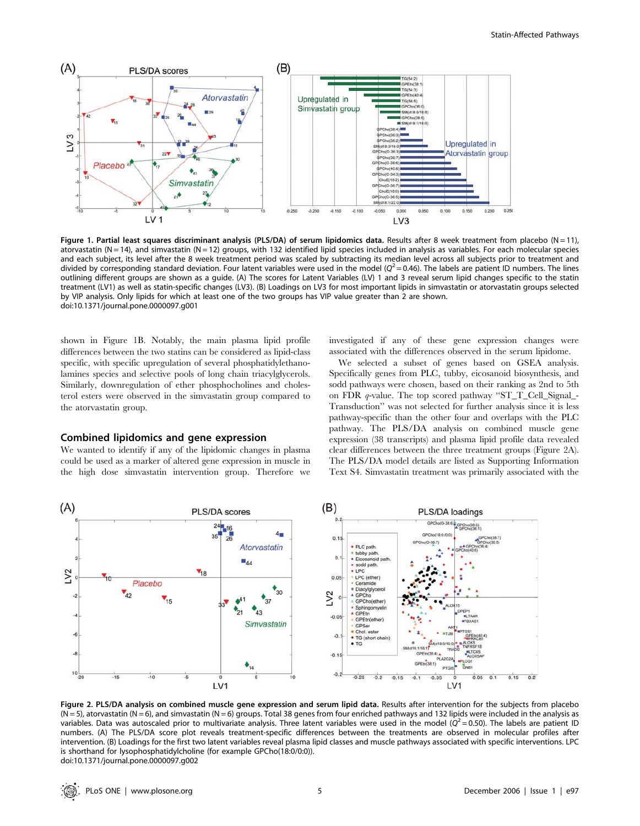

Figure 1. Partial least squares discriminant analysis (PLS/DA) of serum lipidomics data. Results after 8 week treatment from placebo (N = 11), atorvastatin (N = 14), and simvastatin (N = 12) groups, with 132 identified lipid species included in analysis as variables. For each molecular species and each subject, its level after the 8 week treatment period was scaled by subtracting its median level across all subjects prior to treatment and divided by corresponding standard deviation. Four latent variables were used in the model ( $Q^2$  = 0.46). The labels are patient ID numbers. The lines outlining different groups are shown as a guide. (A) The scores for Latent Variables (LV) 1 and 3 reveal serum lipid changes specific to the statin treatment (LV1) as well as statin-specific changes (LV3). (B) Loadings on LV3 for most important lipids in simvastatin or atorvastatin groups selected by VIP analysis. Only lipids for which at least one of the two groups has VIP value greater than 2 are shown. doi:10.1371/journal.pone.0000097.g001

shown in Figure 1B. Notably, the main plasma lipid profile differences between the two statins can be considered as lipid-class specific, with specific upregulation of several phosphatidylethanolamines species and selective pools of long chain triacylglycerols. Similarly, downregulation of ether phosphocholines and cholesterol esters were observed in the simvastatin group compared to the atorvastatin group.

# Combined lipidomics and gene expression

We wanted to identify if any of the lipidomic changes in plasma could be used as a marker of altered gene expression in muscle in the high dose simvastatin intervention group. Therefore we

investigated if any of these gene expression changes were associated with the differences observed in the serum lipidome.

We selected a subset of genes based on GSEA analysis. Specifically genes from PLC, tubby, eicosanoid biosynthesis, and sodd pathways were chosen, based on their ranking as 2nd to 5th on FDR q-value. The top scored pathway ''ST\_T\_Cell\_Signal\_- Transduction'' was not selected for further analysis since it is less pathway-specific than the other four and overlaps with the PLC pathway. The PLS/DA analysis on combined muscle gene expression (38 transcripts) and plasma lipid profile data revealed clear differences between the three treatment groups (Figure 2A). The PLS/DA model details are listed as Supporting Information Text S4. Simvastatin treatment was primarily associated with the



Figure 2. PLS/DA analysis on combined muscle gene expression and serum lipid data. Results after intervention for the subjects from placebo  $(N = 5)$ , atorvastatin  $(N = 6)$ , and simvastatin  $(N = 6)$  groups. Total 38 genes from four enriched pathways and 132 lipids were included in the analysis as variables. Data was autoscaled prior to multivariate analysis. Three latent variables were used in the model ( $Q^2 = 0.50$ ). The labels are patient ID numbers. (A) The PLS/DA score plot reveals treatment-specific differences between the treatments are observed in molecular profiles after intervention. (B) Loadings for the first two latent variables reveal plasma lipid classes and muscle pathways associated with specific interventions. LPC is shorthand for lysophosphatidylcholine (for example GPCho(18:0/0:0)). doi:10.1371/journal.pone.0000097.g002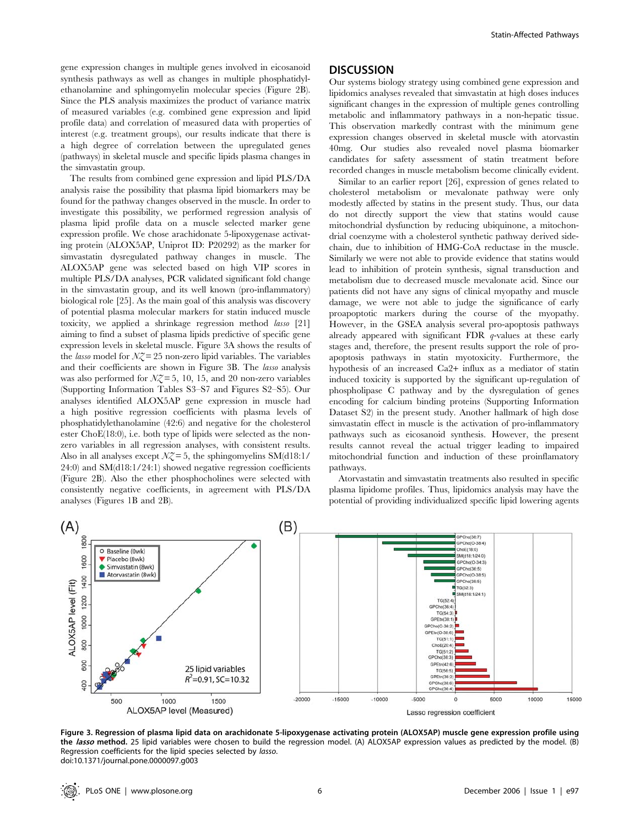gene expression changes in multiple genes involved in eicosanoid synthesis pathways as well as changes in multiple phosphatidylethanolamine and sphingomyelin molecular species (Figure 2B). Since the PLS analysis maximizes the product of variance matrix of measured variables (e.g. combined gene expression and lipid profile data) and correlation of measured data with properties of interest (e.g. treatment groups), our results indicate that there is a high degree of correlation between the upregulated genes (pathways) in skeletal muscle and specific lipids plasma changes in the simvastatin group.

The results from combined gene expression and lipid PLS/DA analysis raise the possibility that plasma lipid biomarkers may be found for the pathway changes observed in the muscle. In order to investigate this possibility, we performed regression analysis of plasma lipid profile data on a muscle selected marker gene expression profile. We chose arachidonate 5-lipoxygenase activating protein (ALOX5AP, Uniprot ID: P20292) as the marker for simvastatin dysregulated pathway changes in muscle. The ALOX5AP gene was selected based on high VIP scores in multiple PLS/DA analyses, PCR validated significant fold change in the simvastatin group, and its well known (pro-inflammatory) biological role [25]. As the main goal of this analysis was discovery of potential plasma molecular markers for statin induced muscle toxicity, we applied a shrinkage regression method lasso [21] aiming to find a subset of plasma lipids predictive of specific gene expression levels in skeletal muscle. Figure 3A shows the results of the *lasso* model for  $NZ = 25$  non-zero lipid variables. The variables and their coefficients are shown in Figure 3B. The lasso analysis was also performed for  $NZ = 5$ , 10, 15, and 20 non-zero variables (Supporting Information Tables S3–S7 and Figures S2–S5). Our analyses identified ALOX5AP gene expression in muscle had a high positive regression coefficients with plasma levels of phosphatidylethanolamine (42:6) and negative for the cholesterol ester ChoE(18:0), i.e. both type of lipids were selected as the nonzero variables in all regression analyses, with consistent results. Also in all analyses except  $\mathcal{N}Z = 5$ , the sphingomyelins SM(d18:1/ 24:0) and SM(d18:1/24:1) showed negative regression coefficients (Figure 2B). Also the ether phosphocholines were selected with consistently negative coefficients, in agreement with PLS/DA analyses (Figures 1B and 2B).

# **DISCUSSION**

Our systems biology strategy using combined gene expression and lipidomics analyses revealed that simvastatin at high doses induces significant changes in the expression of multiple genes controlling metabolic and inflammatory pathways in a non-hepatic tissue. This observation markedly contrast with the minimum gene expression changes observed in skeletal muscle with atorvastin 40mg. Our studies also revealed novel plasma biomarker candidates for safety assessment of statin treatment before recorded changes in muscle metabolism become clinically evident.

Similar to an earlier report [26], expression of genes related to cholesterol metabolism or mevalonate pathway were only modestly affected by statins in the present study. Thus, our data do not directly support the view that statins would cause mitochondrial dysfunction by reducing ubiquinone, a mitochondrial coenzyme with a cholesterol synthetic pathway derived sidechain, due to inhibition of HMG-CoA reductase in the muscle. Similarly we were not able to provide evidence that statins would lead to inhibition of protein synthesis, signal transduction and metabolism due to decreased muscle mevalonate acid. Since our patients did not have any signs of clinical myopathy and muscle damage, we were not able to judge the significance of early proapoptotic markers during the course of the myopathy. However, in the GSEA analysis several pro-apoptosis pathways already appeared with significant FDR q-values at these early stages and, therefore, the present results support the role of proapoptosis pathways in statin myotoxicity. Furthermore, the hypothesis of an increased Ca2+ influx as a mediator of statin induced toxicity is supported by the significant up-regulation of phospholipase C pathway and by the dysregulation of genes encoding for calcium binding proteins (Supporting Information Dataset S2) in the present study. Another hallmark of high dose simvastatin effect in muscle is the activation of pro-inflammatory pathways such as eicosanoid synthesis. However, the present results cannot reveal the actual trigger leading to impaired mitochondrial function and induction of these proinflamatory pathways.

Atorvastatin and simvastatin treatments also resulted in specific plasma lipidome profiles. Thus, lipidomics analysis may have the potential of providing individualized specific lipid lowering agents



Figure 3. Regression of plasma lipid data on arachidonate 5-lipoxygenase activating protein (ALOX5AP) muscle gene expression profile using the *lasso* method. 25 lipid variables were chosen to build the regression model. (A) ALOX5AP expression values as predicted by the model. (B) Regression coefficients for the lipid species selected by lasso. doi:10.1371/journal.pone.0000097.g003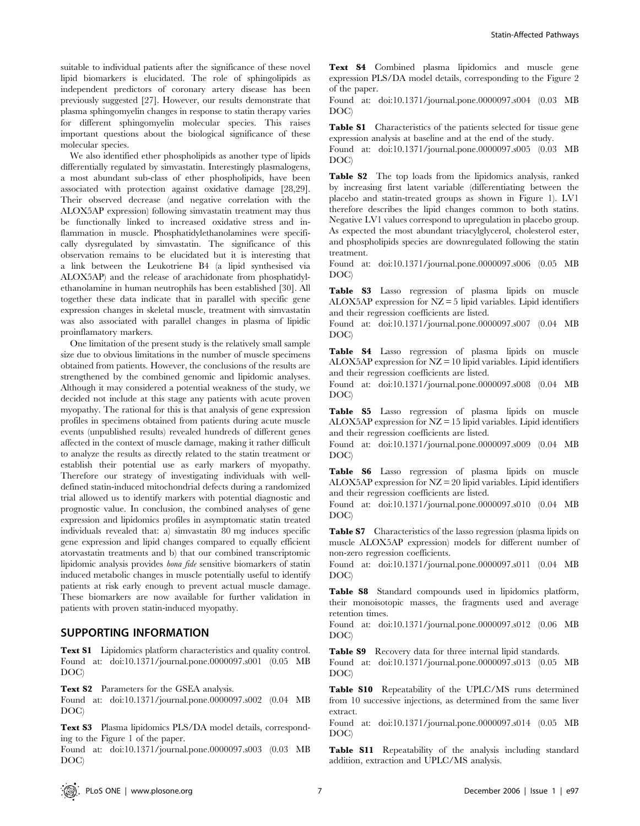suitable to individual patients after the significance of these novel lipid biomarkers is elucidated. The role of sphingolipids as independent predictors of coronary artery disease has been previously suggested [27]. However, our results demonstrate that plasma sphingomyelin changes in response to statin therapy varies for different sphingomyelin molecular species. This raises important questions about the biological significance of these molecular species.

We also identified ether phospholipids as another type of lipids differentially regulated by simvastatin. Interestingly plasmalogens, a most abundant sub-class of ether phospholipids, have been associated with protection against oxidative damage [28,29]. Their observed decrease (and negative correlation with the ALOX5AP expression) following simvastatin treatment may thus be functionally linked to increased oxidative stress and inflammation in muscle. Phosphatidylethanolamines were specifically dysregulated by simvastatin. The significance of this observation remains to be elucidated but it is interesting that a link between the Leukotriene B4 (a lipid synthesised via ALOX5AP) and the release of arachidonate from phosphatidylethanolamine in human neutrophils has been established [30]. All together these data indicate that in parallel with specific gene expression changes in skeletal muscle, treatment with simvastatin was also associated with parallel changes in plasma of lipidic proinflamatory markers.

One limitation of the present study is the relatively small sample size due to obvious limitations in the number of muscle specimens obtained from patients. However, the conclusions of the results are strengthened by the combined genomic and lipidomic analyses. Although it may considered a potential weakness of the study, we decided not include at this stage any patients with acute proven myopathy. The rational for this is that analysis of gene expression profiles in specimens obtained from patients during acute muscle events (unpublished results) revealed hundreds of different genes affected in the context of muscle damage, making it rather difficult to analyze the results as directly related to the statin treatment or establish their potential use as early markers of myopathy. Therefore our strategy of investigating individuals with welldefined statin-induced mitochondrial defects during a randomized trial allowed us to identify markers with potential diagnostic and prognostic value. In conclusion, the combined analyses of gene expression and lipidomics profiles in asymptomatic statin treated individuals revealed that: a) simvastatin 80 mg induces specific gene expression and lipid changes compared to equally efficient atorvastatin treatments and b) that our combined transcriptomic lipidomic analysis provides bona fide sensitive biomarkers of statin induced metabolic changes in muscle potentially useful to identify patients at risk early enough to prevent actual muscle damage. These biomarkers are now available for further validation in patients with proven statin-induced myopathy.

# SUPPORTING INFORMATION

Text S1 Lipidomics platform characteristics and quality control. Found at: doi:10.1371/journal.pone.0000097.s001 (0.05 MB DOC)

Text S2 Parameters for the GSEA analysis.

Found at: doi:10.1371/journal.pone.0000097.s002 (0.04 MB DOC)

Text S3 Plasma lipidomics PLS/DA model details, corresponding to the Figure 1 of the paper.

Found at: doi:10.1371/journal.pone.0000097.s003 (0.03 MB DOC)

Text S4 Combined plasma lipidomics and muscle gene expression PLS/DA model details, corresponding to the Figure 2 of the paper.

Found at: doi:10.1371/journal.pone.0000097.s004 (0.03 MB DOC)

Table S1 Characteristics of the patients selected for tissue gene expression analysis at baseline and at the end of the study.

Found at: doi:10.1371/journal.pone.0000097.s005 (0.03 MB DOC)

Table S2 The top loads from the lipidomics analysis, ranked by increasing first latent variable (differentiating between the placebo and statin-treated groups as shown in Figure 1). LV1 therefore describes the lipid changes common to both statins. Negative LV1 values correspond to upregulation in placebo group. As expected the most abundant triacylglycerol, cholesterol ester, and phospholipids species are downregulated following the statin treatment.

Found at: doi:10.1371/journal.pone.0000097.s006 (0.05 MB DOC)

Table S3 Lasso regression of plasma lipids on muscle ALOX5AP expression for NZ = 5 lipid variables. Lipid identifiers and their regression coefficients are listed.

Found at: doi:10.1371/journal.pone.0000097.s007 (0.04 MB DOC)

Table S4 Lasso regression of plasma lipids on muscle ALOX5AP expression for  $NZ = 10$  lipid variables. Lipid identifiers and their regression coefficients are listed.

Found at: doi:10.1371/journal.pone.0000097.s008 (0.04 MB DOC)

Table S5 Lasso regression of plasma lipids on muscle ALOX5AP expression for NZ = 15 lipid variables. Lipid identifiers and their regression coefficients are listed.

Found at: doi:10.1371/journal.pone.0000097.s009 (0.04 MB DOC)

Table S6 Lasso regression of plasma lipids on muscle ALOX5AP expression for NZ = 20 lipid variables. Lipid identifiers and their regression coefficients are listed.

Found at: doi:10.1371/journal.pone.0000097.s010 (0.04 MB DOC)

Table S7 Characteristics of the lasso regression (plasma lipids on muscle ALOX5AP expression) models for different number of non-zero regression coefficients.

Found at: doi:10.1371/journal.pone.0000097.s011 (0.04 MB DOC)

Table S8 Standard compounds used in lipidomics platform, their monoisotopic masses, the fragments used and average retention times.

Found at: doi:10.1371/journal.pone.0000097.s012 (0.06 MB DOC)

Table S9 Recovery data for three internal lipid standards. Found at: doi:10.1371/journal.pone.0000097.s013 (0.05 MB

Table S10 Repeatability of the UPLC/MS runs determined from 10 successive injections, as determined from the same liver extract.

Found at: doi:10.1371/journal.pone.0000097.s014 (0.05 MB DOC)

Table S11 Repeatability of the analysis including standard addition, extraction and UPLC/MS analysis.

DOC)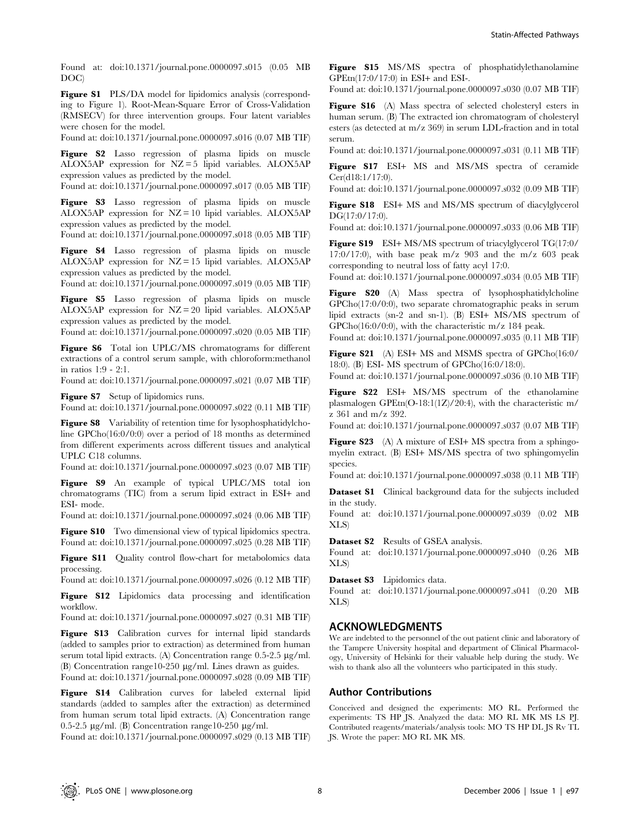Found at: doi:10.1371/journal.pone.0000097.s015 (0.05 MB DOC)

Figure S1 PLS/DA model for lipidomics analysis (corresponding to Figure 1). Root-Mean-Square Error of Cross-Validation (RMSECV) for three intervention groups. Four latent variables were chosen for the model.

Found at: doi:10.1371/journal.pone.0000097.s016 (0.07 MB TIF)

Figure S2 Lasso regression of plasma lipids on muscle ALOX5AP expression for NZ = 5 lipid variables. ALOX5AP expression values as predicted by the model.

Found at: doi:10.1371/journal.pone.0000097.s017 (0.05 MB TIF)

Figure S3 Lasso regression of plasma lipids on muscle ALOX5AP expression for NZ = 10 lipid variables. ALOX5AP expression values as predicted by the model.

Found at: doi:10.1371/journal.pone.0000097.s018 (0.05 MB TIF)

Figure S4 Lasso regression of plasma lipids on muscle ALOX5AP expression for NZ = 15 lipid variables. ALOX5AP expression values as predicted by the model.

Found at: doi:10.1371/journal.pone.0000097.s019 (0.05 MB TIF)

Figure S5 Lasso regression of plasma lipids on muscle ALOX5AP expression for NZ = 20 lipid variables. ALOX5AP expression values as predicted by the model.

Found at: doi:10.1371/journal.pone.0000097.s020 (0.05 MB TIF)

Figure S6 Total ion UPLC/MS chromatograms for different extractions of a control serum sample, with chloroform:methanol in ratios 1:9 - 2:1.

Found at: doi:10.1371/journal.pone.0000097.s021 (0.07 MB TIF)

Figure S7 Setup of lipidomics runs.

Found at: doi:10.1371/journal.pone.0000097.s022 (0.11 MB TIF)

Figure S8 Variability of retention time for lysophosphatidylcholine GPCho(16:0/0:0) over a period of 18 months as determined from different experiments across different tissues and analytical UPLC C18 columns.

Found at: doi:10.1371/journal.pone.0000097.s023 (0.07 MB TIF)

Figure S9 An example of typical UPLC/MS total ion chromatograms (TIC) from a serum lipid extract in ESI+ and ESI- mode.

Found at: doi:10.1371/journal.pone.0000097.s024 (0.06 MB TIF)

Figure S10 Two dimensional view of typical lipidomics spectra. Found at: doi:10.1371/journal.pone.0000097.s025 (0.28 MB TIF)

Figure S11 Quality control flow-chart for metabolomics data processing.

Found at: doi:10.1371/journal.pone.0000097.s026 (0.12 MB TIF)

Figure S12 Lipidomics data processing and identification workflow.

Found at: doi:10.1371/journal.pone.0000097.s027 (0.31 MB TIF)

Figure S13 Calibration curves for internal lipid standards (added to samples prior to extraction) as determined from human serum total lipid extracts. (A) Concentration range  $0.5$ -2.5  $\mu$ g/ml. (B) Concentration range10-250  $\mu$ g/ml. Lines drawn as guides.

Found at: doi:10.1371/journal.pone.0000097.s028 (0.09 MB TIF)

Figure S14 Calibration curves for labeled external lipid standards (added to samples after the extraction) as determined from human serum total lipid extracts. (A) Concentration range 0.5-2.5  $\mu$ g/ml. (B) Concentration range10-250  $\mu$ g/ml.

Found at: doi:10.1371/journal.pone.0000097.s029 (0.13 MB TIF)

Figure S15 MS/MS spectra of phosphatidylethanolamine GPEtn(17:0/17:0) in ESI+ and ESI-.

Found at: doi:10.1371/journal.pone.0000097.s030 (0.07 MB TIF)

Figure S16 (A) Mass spectra of selected cholesteryl esters in human serum. (B) The extracted ion chromatogram of cholesteryl esters (as detected at m/z 369) in serum LDL-fraction and in total serum.

Found at: doi:10.1371/journal.pone.0000097.s031 (0.11 MB TIF)

Figure S17 ESI+ MS and MS/MS spectra of ceramide Cer(d18:1/17:0).

Found at: doi:10.1371/journal.pone.0000097.s032 (0.09 MB TIF)

Figure S18 ESI+ MS and MS/MS spectrum of diacylglycerol DG(17:0/17:0).

Found at: doi:10.1371/journal.pone.0000097.s033 (0.06 MB TIF)

Figure S19 ESI+ MS/MS spectrum of triacylglycerol TG(17:0/ 17:0/17:0), with base peak m/z 903 and the m/z 603 peak corresponding to neutral loss of fatty acyl 17:0.

Found at: doi:10.1371/journal.pone.0000097.s034 (0.05 MB TIF)

Figure S20 (A) Mass spectra of lysophosphatidylcholine GPCho(17:0/0:0), two separate chromatographic peaks in serum lipid extracts (sn-2 and sn-1). (B) ESI+ MS/MS spectrum of GPCho(16:0/0:0), with the characteristic m/z 184 peak.

Found at: doi:10.1371/journal.pone.0000097.s035 (0.11 MB TIF)

Figure S21 (A) ESI+ MS and MSMS spectra of GPCho(16:0/ 18:0). (B) ESI- MS spectrum of GPCho(16:0/18:0).

Found at: doi:10.1371/journal.pone.0000097.s036 (0.10 MB TIF)

Figure S22 ESI+ MS/MS spectrum of the ethanolamine plasmalogen GPEtn(O-18:1(1Z)/20:4), with the characteristic m/ z 361 and m/z 392.

Found at: doi:10.1371/journal.pone.0000097.s037 (0.07 MB TIF)

Figure S23 (A) A mixture of ESI+ MS spectra from a sphingomyelin extract. (B) ESI+ MS/MS spectra of two sphingomyelin species.

Found at: doi:10.1371/journal.pone.0000097.s038 (0.11 MB TIF)

**Dataset S1** Clinical background data for the subjects included in the study.

Found at: doi:10.1371/journal.pone.0000097.s039 (0.02 MB XLS)

Dataset S2 Results of GSEA analysis.

Found at: doi:10.1371/journal.pone.0000097.s040 (0.26 MB XLS)

Dataset S3 Lipidomics data.

Found at: doi:10.1371/journal.pone.0000097.s041 (0.20 MB XLS)

## ACKNOWLEDGMENTS

We are indebted to the personnel of the out patient clinic and laboratory of the Tampere University hospital and department of Clinical Pharmacology, University of Helsinki for their valuable help during the study. We wish to thank also all the volunteers who participated in this study.

### Author Contributions

Conceived and designed the experiments: MO RL. Performed the experiments: TS HP JS. Analyzed the data: MO RL MK MS LS PJ. Contributed reagents/materials/analysis tools: MO TS HP DL JS Rv TL JS. Wrote the paper: MO RL MK MS.